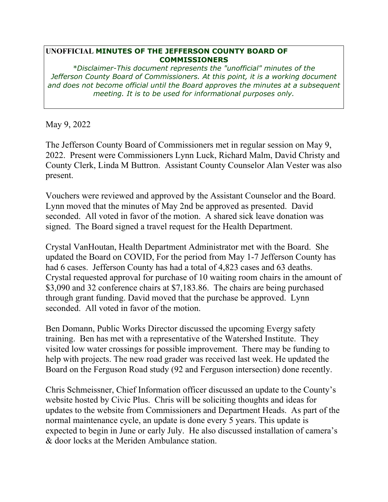## **UNOFFICIAL MINUTES OF THE JEFFERSON COUNTY BOARD OF COMMISSIONERS**

*\*Disclaimer-This document represents the "unofficial" minutes of the Jefferson County Board of Commissioners. At this point, it is a working document and does not become official until the Board approves the minutes at a subsequent meeting. It is to be used for informational purposes only.* 

May 9, 2022

The Jefferson County Board of Commissioners met in regular session on May 9, 2022. Present were Commissioners Lynn Luck, Richard Malm, David Christy and County Clerk, Linda M Buttron. Assistant County Counselor Alan Vester was also present.

Vouchers were reviewed and approved by the Assistant Counselor and the Board. Lynn moved that the minutes of May 2nd be approved as presented. David seconded. All voted in favor of the motion. A shared sick leave donation was signed. The Board signed a travel request for the Health Department.

Crystal VanHoutan, Health Department Administrator met with the Board. She updated the Board on COVID, For the period from May 1-7 Jefferson County has had 6 cases. Jefferson County has had a total of 4,823 cases and 63 deaths. Crystal requested approval for purchase of 10 waiting room chairs in the amount of \$3,090 and 32 conference chairs at \$7,183.86. The chairs are being purchased through grant funding. David moved that the purchase be approved. Lynn seconded. All voted in favor of the motion.

Ben Domann, Public Works Director discussed the upcoming Evergy safety training. Ben has met with a representative of the Watershed Institute. They visited low water crossings for possible improvement. There may be funding to help with projects. The new road grader was received last week. He updated the Board on the Ferguson Road study (92 and Ferguson intersection) done recently.

Chris Schmeissner, Chief Information officer discussed an update to the County's website hosted by Civic Plus. Chris will be soliciting thoughts and ideas for updates to the website from Commissioners and Department Heads. As part of the normal maintenance cycle, an update is done every 5 years. This update is expected to begin in June or early July. He also discussed installation of camera's & door locks at the Meriden Ambulance station.